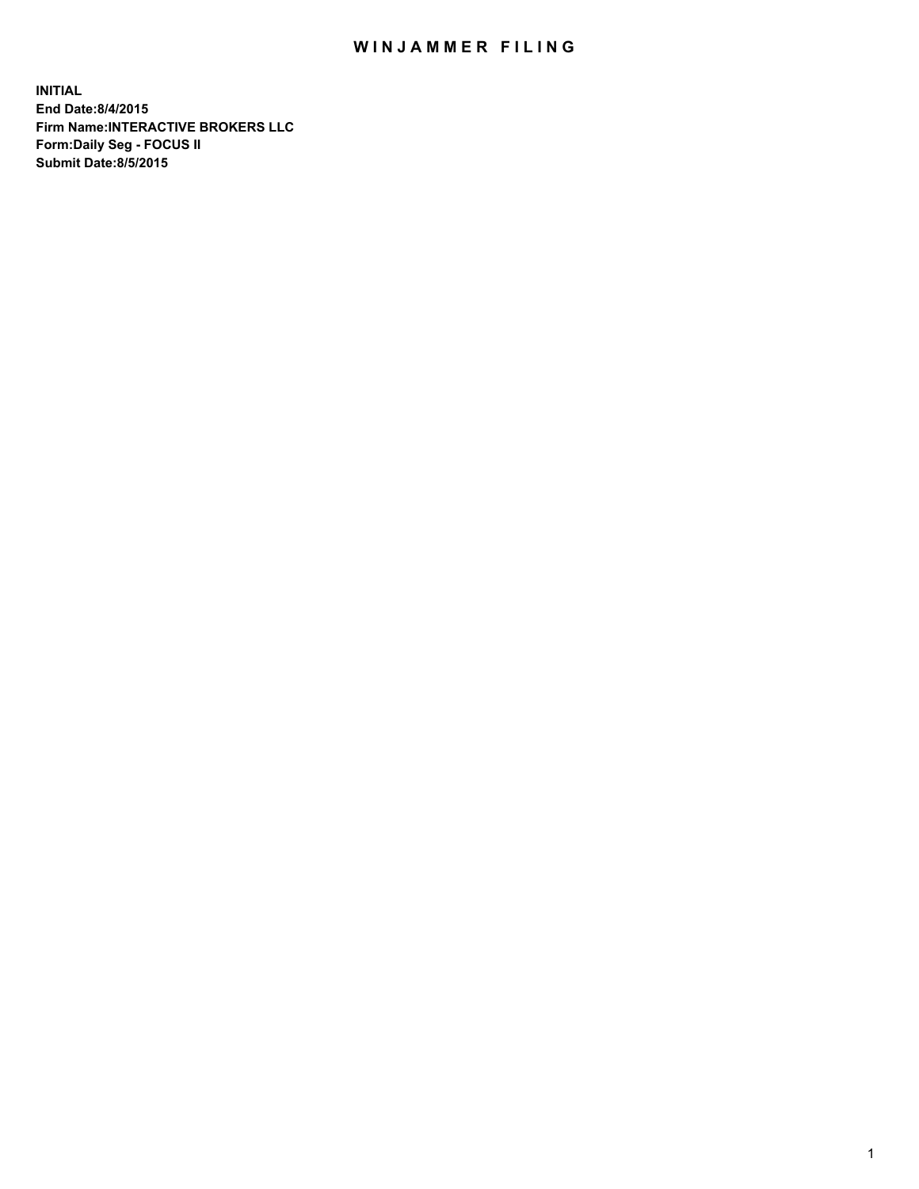## WIN JAMMER FILING

**INITIAL End Date:8/4/2015 Firm Name:INTERACTIVE BROKERS LLC Form:Daily Seg - FOCUS II Submit Date:8/5/2015**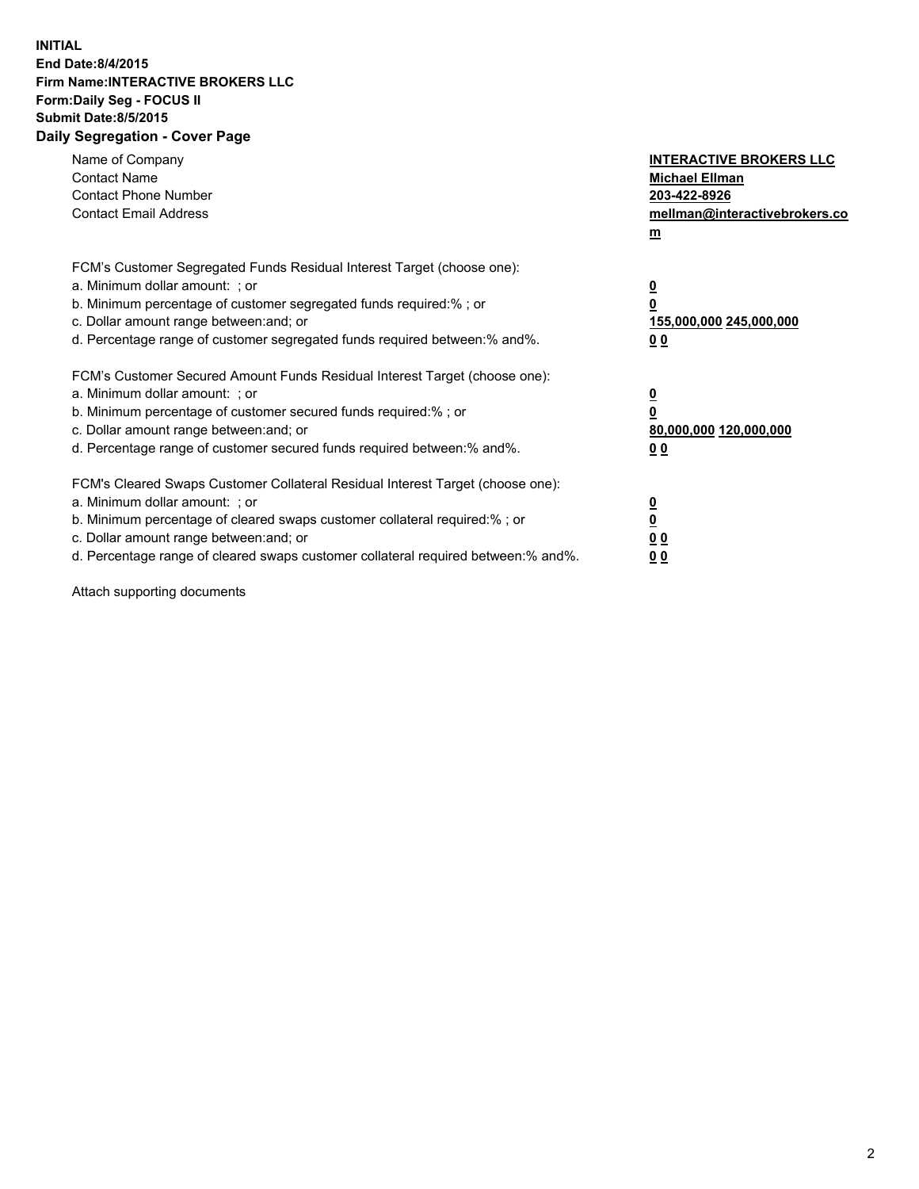## **INITIAL End Date:8/4/2015 Firm Name:INTERACTIVE BROKERS LLC Form:Daily Seg - FOCUS II Submit Date:8/5/2015 Daily Segregation - Cover Page**

| Name of Company<br><b>Contact Name</b><br><b>Contact Phone Number</b><br><b>Contact Email Address</b>                                                                                                                                                                                                                          | <b>INTERACTIVE BROKERS LLC</b><br><b>Michael Ellman</b><br>203-422-8926<br>mellman@interactivebrokers.co<br>$\mathbf{m}$ |
|--------------------------------------------------------------------------------------------------------------------------------------------------------------------------------------------------------------------------------------------------------------------------------------------------------------------------------|--------------------------------------------------------------------------------------------------------------------------|
| FCM's Customer Segregated Funds Residual Interest Target (choose one):<br>a. Minimum dollar amount: ; or<br>b. Minimum percentage of customer segregated funds required:% ; or<br>c. Dollar amount range between: and; or<br>d. Percentage range of customer segregated funds required between:% and%.                         | $\overline{\mathbf{0}}$<br>0<br>155,000,000 245,000,000<br>0 <sub>0</sub>                                                |
| FCM's Customer Secured Amount Funds Residual Interest Target (choose one):<br>a. Minimum dollar amount: ; or<br>b. Minimum percentage of customer secured funds required:%; or<br>c. Dollar amount range between: and; or<br>d. Percentage range of customer secured funds required between: % and %.                          | $\underline{\mathbf{0}}$<br>0<br>80,000,000 120,000,000<br>0 <sub>0</sub>                                                |
| FCM's Cleared Swaps Customer Collateral Residual Interest Target (choose one):<br>a. Minimum dollar amount: ; or<br>b. Minimum percentage of cleared swaps customer collateral required:% ; or<br>c. Dollar amount range between: and; or<br>d. Percentage range of cleared swaps customer collateral required between:% and%. | $\overline{\mathbf{0}}$<br>$\overline{\mathbf{0}}$<br>0 <sub>0</sub><br>0 <sup>0</sup>                                   |

Attach supporting documents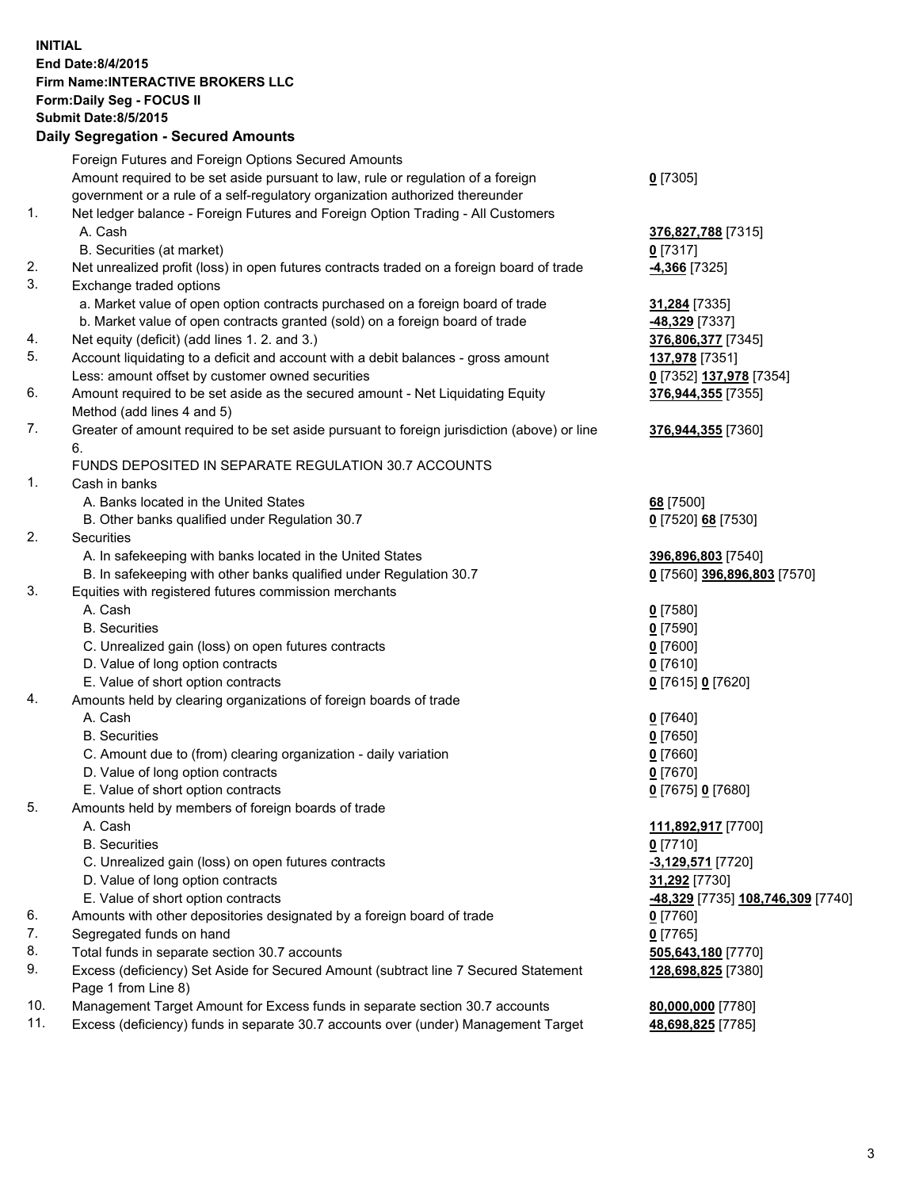## **INITIAL End Date:8/4/2015 Firm Name:INTERACTIVE BROKERS LLC Form:Daily Seg - FOCUS II Submit Date:8/5/2015 Daily Segregation - Secured Amounts**

|     | Foreign Futures and Foreign Options Secured Amounts                                         |                                   |
|-----|---------------------------------------------------------------------------------------------|-----------------------------------|
|     | Amount required to be set aside pursuant to law, rule or regulation of a foreign            | $0$ [7305]                        |
|     | government or a rule of a self-regulatory organization authorized thereunder                |                                   |
| 1.  | Net ledger balance - Foreign Futures and Foreign Option Trading - All Customers             |                                   |
|     | A. Cash                                                                                     | 376,827,788 [7315]                |
|     | B. Securities (at market)                                                                   | $0$ [7317]                        |
| 2.  | Net unrealized profit (loss) in open futures contracts traded on a foreign board of trade   | <b>4,366</b> [7325]               |
| 3.  | Exchange traded options                                                                     |                                   |
|     | a. Market value of open option contracts purchased on a foreign board of trade              | 31,284 [7335]                     |
|     | b. Market value of open contracts granted (sold) on a foreign board of trade                | -48,329 [7337]                    |
| 4.  | Net equity (deficit) (add lines 1.2. and 3.)                                                | 376,806,377 [7345]                |
| 5.  | Account liquidating to a deficit and account with a debit balances - gross amount           | 137,978 [7351]                    |
|     | Less: amount offset by customer owned securities                                            | 0 [7352] 137,978 [7354]           |
| 6.  | Amount required to be set aside as the secured amount - Net Liquidating Equity              | 376,944,355 [7355]                |
|     | Method (add lines 4 and 5)                                                                  |                                   |
| 7.  | Greater of amount required to be set aside pursuant to foreign jurisdiction (above) or line | 376,944,355 [7360]                |
|     | 6.                                                                                          |                                   |
|     | FUNDS DEPOSITED IN SEPARATE REGULATION 30.7 ACCOUNTS                                        |                                   |
| 1.  | Cash in banks                                                                               |                                   |
|     | A. Banks located in the United States                                                       | 68 [7500]                         |
|     | B. Other banks qualified under Regulation 30.7                                              | 0 [7520] 68 [7530]                |
| 2.  | Securities                                                                                  |                                   |
|     | A. In safekeeping with banks located in the United States                                   | 396,896,803 [7540]                |
|     | B. In safekeeping with other banks qualified under Regulation 30.7                          | 0 [7560] 396,896,803 [7570]       |
| 3.  | Equities with registered futures commission merchants                                       |                                   |
|     | A. Cash                                                                                     | $0$ [7580]                        |
|     | <b>B.</b> Securities                                                                        | $0$ [7590]                        |
|     | C. Unrealized gain (loss) on open futures contracts                                         | $0$ [7600]                        |
|     | D. Value of long option contracts                                                           | $0$ [7610]                        |
|     | E. Value of short option contracts                                                          | 0 [7615] 0 [7620]                 |
| 4.  | Amounts held by clearing organizations of foreign boards of trade                           |                                   |
|     | A. Cash                                                                                     | $0$ [7640]                        |
|     | <b>B.</b> Securities                                                                        | $0$ [7650]                        |
|     | C. Amount due to (from) clearing organization - daily variation                             | $0$ [7660]                        |
|     | D. Value of long option contracts                                                           | $0$ [7670]                        |
|     | E. Value of short option contracts                                                          | 0 [7675] 0 [7680]                 |
| 5.  | Amounts held by members of foreign boards of trade                                          |                                   |
|     | A. Cash                                                                                     | 111,892,917 [7700]                |
|     | <b>B.</b> Securities                                                                        | $0$ [7710]                        |
|     | C. Unrealized gain (loss) on open futures contracts                                         | $-3,129,571$ [7720]               |
|     | D. Value of long option contracts                                                           | 31,292 [7730]                     |
|     | E. Value of short option contracts                                                          | -48,329 [7735] 108,746,309 [7740] |
| 6.  | Amounts with other depositories designated by a foreign board of trade                      | $0$ [7760]                        |
| 7.  | Segregated funds on hand                                                                    | $0$ [7765]                        |
| 8.  | Total funds in separate section 30.7 accounts                                               | 505,643,180 [7770]                |
| 9.  | Excess (deficiency) Set Aside for Secured Amount (subtract line 7 Secured Statement         | 128,698,825 [7380]                |
|     | Page 1 from Line 8)                                                                         |                                   |
| 10. | Management Target Amount for Excess funds in separate section 30.7 accounts                 | 80,000,000 [7780]                 |
| 11. | Excess (deficiency) funds in separate 30.7 accounts over (under) Management Target          | 48,698,825 [7785]                 |
|     |                                                                                             |                                   |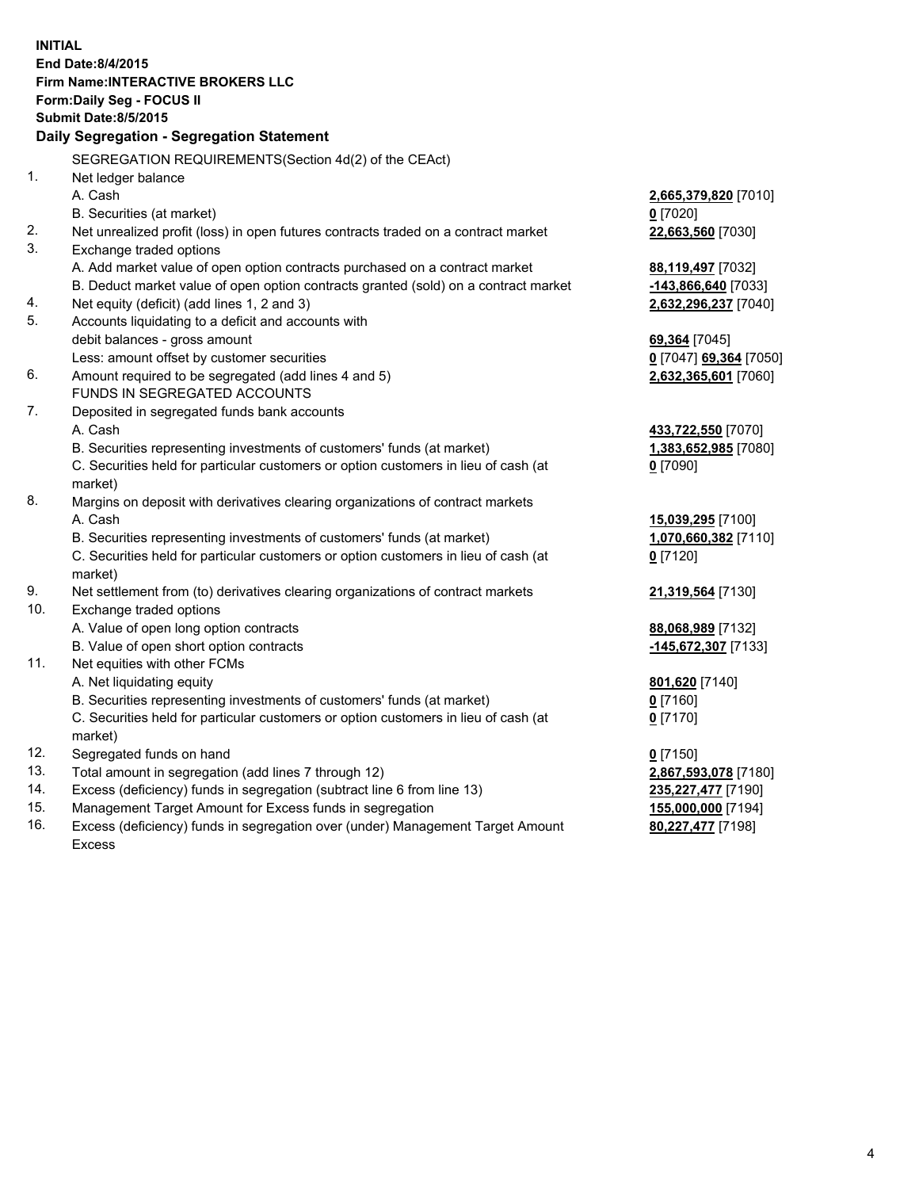**INITIAL End Date:8/4/2015 Firm Name:INTERACTIVE BROKERS LLC Form:Daily Seg - FOCUS II Submit Date:8/5/2015 Daily Segregation - Segregation Statement** SEGREGATION REQUIREMENTS(Section 4d(2) of the CEAct) 1. Net ledger balance A. Cash **2,665,379,820** [7010] B. Securities (at market) **0** [7020] 2. Net unrealized profit (loss) in open futures contracts traded on a contract market **22,663,560** [7030] 3. Exchange traded options A. Add market value of open option contracts purchased on a contract market **88,119,497** [7032] B. Deduct market value of open option contracts granted (sold) on a contract market **-143,866,640** [7033] 4. Net equity (deficit) (add lines 1, 2 and 3) **2,632,296,237** [7040] 5. Accounts liquidating to a deficit and accounts with debit balances - gross amount **69,364** [7045] Less: amount offset by customer securities **0** [7047] **69,364** [7050] 6. Amount required to be segregated (add lines 4 and 5) **2,632,365,601** [7060] FUNDS IN SEGREGATED ACCOUNTS 7. Deposited in segregated funds bank accounts A. Cash **433,722,550** [7070] B. Securities representing investments of customers' funds (at market) **1,383,652,985** [7080] C. Securities held for particular customers or option customers in lieu of cash (at market) **0** [7090] 8. Margins on deposit with derivatives clearing organizations of contract markets A. Cash **15,039,295** [7100] B. Securities representing investments of customers' funds (at market) **1,070,660,382** [7110] C. Securities held for particular customers or option customers in lieu of cash (at market) **0** [7120] 9. Net settlement from (to) derivatives clearing organizations of contract markets **21,319,564** [7130] 10. Exchange traded options A. Value of open long option contracts **88,068,989** [7132] B. Value of open short option contracts **-145,672,307** [7133] 11. Net equities with other FCMs A. Net liquidating equity **801,620** [7140] B. Securities representing investments of customers' funds (at market) **0** [7160] C. Securities held for particular customers or option customers in lieu of cash (at market) **0** [7170] 12. Segregated funds on hand **0** [7150] 13. Total amount in segregation (add lines 7 through 12) **2,867,593,078** [7180] 14. Excess (deficiency) funds in segregation (subtract line 6 from line 13) **235,227,477** [7190] 15. Management Target Amount for Excess funds in segregation **155,000,000** [7194]

16. Excess (deficiency) funds in segregation over (under) Management Target Amount Excess

**80,227,477** [7198]